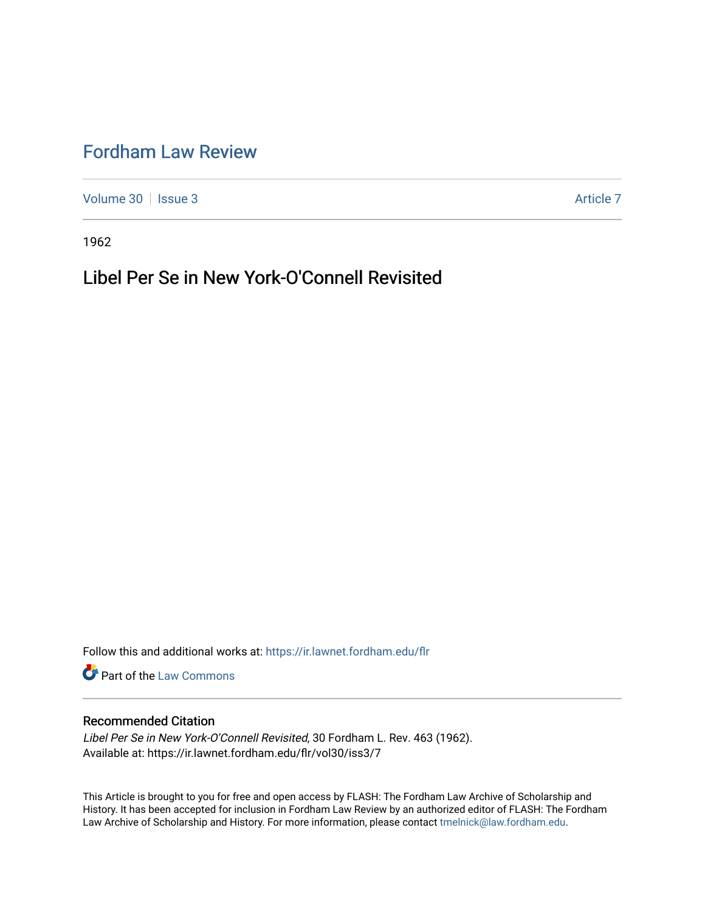# [Fordham Law Review](https://ir.lawnet.fordham.edu/flr)

[Volume 30](https://ir.lawnet.fordham.edu/flr/vol30) | [Issue 3](https://ir.lawnet.fordham.edu/flr/vol30/iss3) Article 7

1962

## Libel Per Se in New York-O'Connell Revisited

Follow this and additional works at: [https://ir.lawnet.fordham.edu/flr](https://ir.lawnet.fordham.edu/flr?utm_source=ir.lawnet.fordham.edu%2Fflr%2Fvol30%2Fiss3%2F7&utm_medium=PDF&utm_campaign=PDFCoverPages)

**Part of the [Law Commons](http://network.bepress.com/hgg/discipline/578?utm_source=ir.lawnet.fordham.edu%2Fflr%2Fvol30%2Fiss3%2F7&utm_medium=PDF&utm_campaign=PDFCoverPages)** 

### Recommended Citation

Libel Per Se in New York-O'Connell Revisited, 30 Fordham L. Rev. 463 (1962). Available at: https://ir.lawnet.fordham.edu/flr/vol30/iss3/7

This Article is brought to you for free and open access by FLASH: The Fordham Law Archive of Scholarship and History. It has been accepted for inclusion in Fordham Law Review by an authorized editor of FLASH: The Fordham Law Archive of Scholarship and History. For more information, please contact [tmelnick@law.fordham.edu](mailto:tmelnick@law.fordham.edu).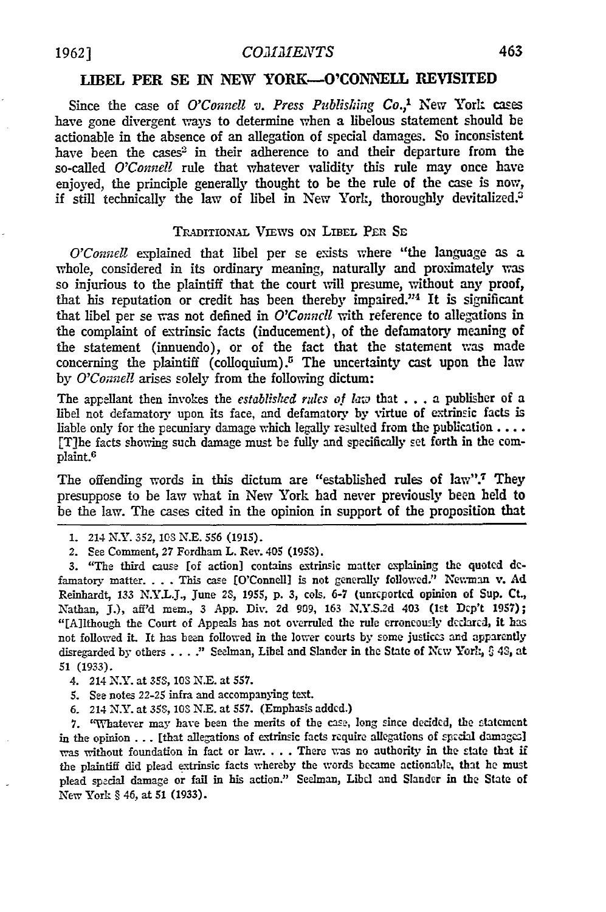#### **LIBEL PER SE IN NEW** YORK-O'CONNELL REVISITED

Since the case of *O'Connell v. Press Publishing Co.,'* New York cases have gone divergent ways to determine when a libelous statement should be actionable in the absence of an allegation of special damages. So inconsistent have been the cases<sup>2</sup> in their adherence to and their departure from the so-called *O'Connell* rule that whatever validity this rule may once have enjoyed, the principle generally thought to be the rule of the case is now, if still technically the law of libel in New York, thoroughly devitalized.?

#### TRADITIONAL VIEWS ON LIBEL PER SE

*O'Connell* explained that libel per se exists where "the language as a whole, considered in its ordinary meaning, naturally and proximately was so injurious to the plaintiff that the court will presume, without any proof, that his reputation or credit has been thereby impaired."<sup>4</sup> It is significant that libel per se vas not defined in *O'Conncll* with reference to allegations in the complaint of extrinsic facts (inducement), of the defamatory meaning of the statement (innuendo), or of the fact that the statement was made concerning the plaintiff (colloquium).<sup>5</sup> The uncertainty cast upon the law by *O'Counell* arises solely from the following dictum:

The appellant then invokes the *established rules of laiw* that . .. a publisher of a libel not defamatory upon its face, and defamatory by virtue of extrinsic facts is liable only for the pecuniary damage which legally resulted from the publication .... [T]he facts showing such damage must be fully and specifically set forth in the complaint.6

The offending words in this dictum are "established rules of law".<sup>7</sup> They presuppose to be law what in New York had never previously been held to be the law. The cases cited in the opinion in support of the proposition that

- **1.** 214 NY. **352,** *ICS* N.E. *556* (1915).
- 2. See Comment, **27** Fordham L. Rev. 405 (1953).

**3.** "The third cause [of action] contains extrinsic matter explaining the quoted **de**famatory matter.. . . This case [O'Connell] is not generally followed." Newman v. **Ad** Reinhardt, **133 N.Y.L.J.,** June 23, **1955, p. 3,** cols. **6-7** (unreported opinion **of** Sup. **Ct,** Nathan, **J.),** aff'd **mem., 3 App.** Div. **2d 909, 163 N.YS.2d** 403 (let Dcp't 1957); "[AlIthough the Court of Appeals has not overruled the rule erroneously declared, it has not followed it. It has been followed in the lower courts by some justices and apparently disregarded **by** others .... " Selman, Libel and Slander in the State of New Yorl; **C** 43, at 51 (1933).

- 4. 214 **N.Y.** at 358, **103 N.E.** at 557.
- **5.** See notes *22-25* infra and accompanying text.
- 6. 214 N.Y. at 35S, *10S* N.E. at 557. (Emphasis added.)

7. "Whatever may have been the merits of the case, long since decided, the etatement in the opinion . . . [that allegations of extrinsic facts require allegations of special damages] was without foundation in fact or law. . . . There was no authority in the state that if the plaintiff did plead extrinsic facts whereby the words became actionable, that he must plead special damage or fail in his action." Seelman, Libd and Slander in the State of New York **§** 46, at **51** (1933).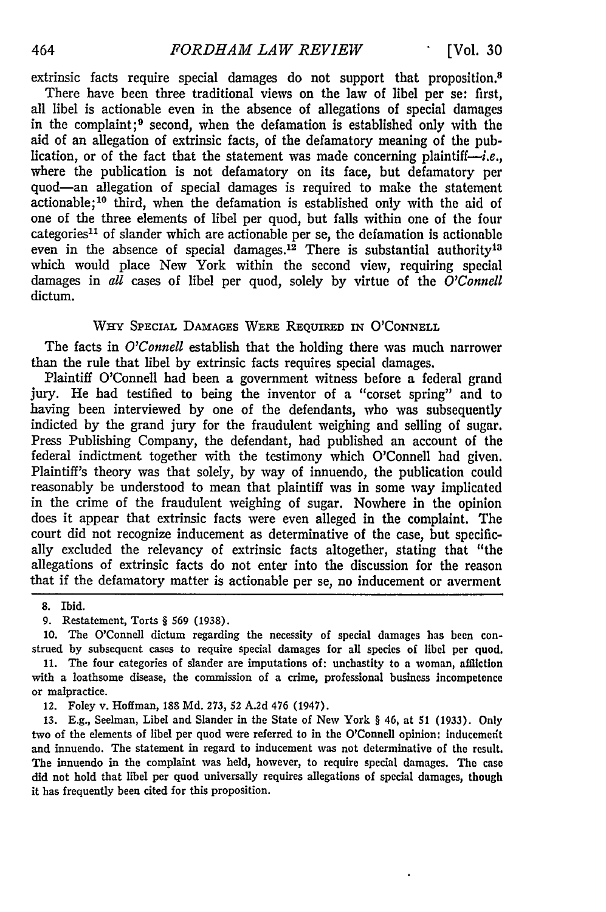extrinsic facts require special damages do not support that proposition.8 There have been three traditional views on the law of libel per se: first, all libel is actionable even in the absence of allegations of special damages in the complaint; 9 second, when the defamation is established only with the aid of an allegation of extrinsic facts, of the defamatory meaning of the publication, or of the fact that the statement was made concerning plaintiff— $\dot{i}$ e. where the publication is not defamatory on its face, but defamatory per quod-an allegation of special damages is required to make the statement actionable; 10 third, when the defamation is established only with the aid of one of the three elements of libel per quod, but falls within one of the four categories<sup>11</sup> of slander which are actionable per se, the defamation is actionable even in the absence of special damages.<sup>12</sup> There is substantial authority<sup>13</sup> which would place New York within the second view, requiring special damages in *all* cases of libel per quod, solely by virtue of the *O'Connell* dictum.

#### WHY SPECIAL **DAMAGES** WERE **REQUIRED** IN O'CONNELL

The facts in *O'Connell* establish that the holding there was much narrower than the rule that libel by extrinsic facts requires special damages.

Plaintiff O'Connell had been a government witness before a federal grand jury. He had testified to being the inventor of a "corset spring" and to having been interviewed by one of the defendants, who was subsequently indicted by the grand jury for the fraudulent weighing and selling of sugar. Press Publishing Company, the defendant, had published an account of the federal indictment together with the testimony which O'Connell had given. Plaintiff's theory was that solely, by way of innuendo, the publication could reasonably be understood to mean that plaintiff was in some way implicated in the crime of the fraudulent weighing of sugar. Nowhere in the opinion does it appear that extrinsic facts were even alleged in the complaint. The court did not recognize inducement as determinative of the case, but specifically excluded the relevancy of extrinsic facts altogether, stating that "the allegations of extrinsic facts do not enter into the discussion for the reason that if the defamatory matter is actionable per se, no inducement or averment

8. Ibid.

**9.** Restatement, Torts § 569 (1938).

10. The O'Connell dictum regarding the necessity of special damages has been construed by subsequent cases to require special damages for all species of libel per quod.

11. The four categories of slander are imputations of: unchastity to a woman, affliction with a loathsome disease, the commission of a crime, professional business incompetence or malpractice.

12. Foley v. Hoffman, 188 Md. 273, 52 A.2d 476 (1947).

13. E.g., Seelman, Libel and Slander in the State of New York § 46, at 51 (1933). Only two of the elements of libel per quod were referred to in the O'Connell opinion: inducenedt and innuendo. The statement in regard to inducement was not determinative of the result. The innuendo in the complaint was held, however, to require special damages. The case did not hold that libel per quod universally requires allegations of special damages, though it has frequently been cited for this proposition.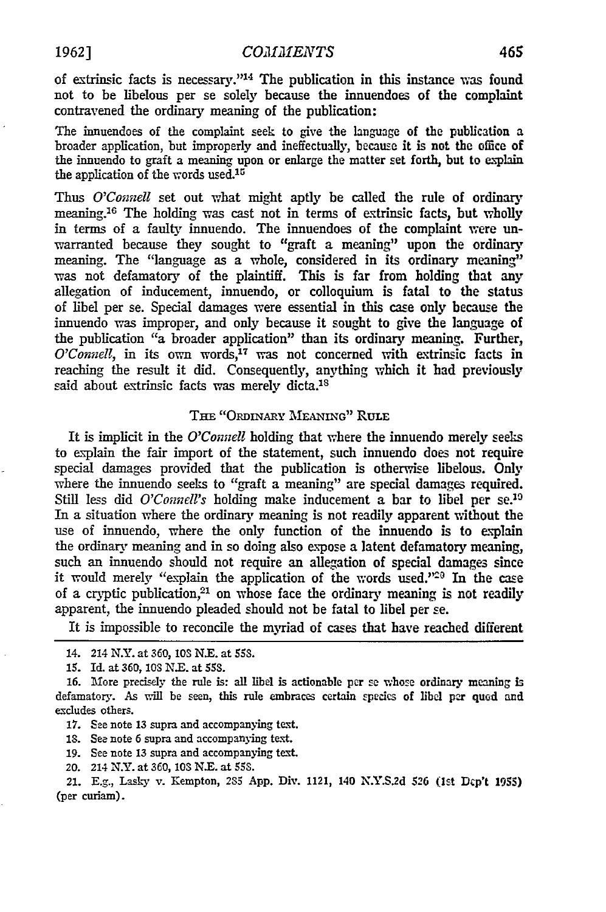of extrinsic facts is necessary."'14 The publication in this instance was found not to be libelous per se solely because the innuendoes of the complaint contravened the ordinary meaning of the publication:

The innuendoes of the complaint seek to give the language of the publication a broader application, but improperly and ineffectually, because it is not the office of the innuendo to graft a meaning upon or enlarge the matter set forth, but to explain the application of the words used. $15$ 

Thus *O'Connell* set out what might aptly be called the rule of ordinary meaning.<sup>16</sup> The holding was cast not in terms of extrinsic facts, but wholly in terms of a faulty innuendo. The innuendoes of the complaint were **un**warranted because they sought to "graft a meaning" upon the ordinary meaning. The "language as a whole, considered in its ordinary meaning" was not defamatory of the plaintiff. This is far from holding that any allegation of inducement, innuendo, or colloquium is fatal to the status of libel per se. Special damages were essential in this case only because the innuendo was improper, and only because it sought to give the language of the publication "a broader application" than its ordinary meaning. Further, *O'Connell,* in its own words,17 was not concerned with extrinsic facts in reaching the result it did. Consequently, anything which it had previously said about extrinsic facts was merely dicta.<sup>18</sup>

#### THE *"ORDINARY* **MEANING"** RULE

It is implicit in the *O'Connell* holding that where the innuendo merely seeks to explain the fair import of the statement, such innuendo does not require special damages provided that the publication is otherwise libelous. Only where the innuendo seeks to "graft a meaning" are special damages required. Still less did *O'Connell's* holding make inducement a bar to libel per se.<sup>19</sup> In a situation where the ordinary meaning is not readily apparent without the use of innuendo, where the only function of the innuendo is to explain the ordinary meaning and in so doing also expose a latent defamatory meaning, such an innuendo should not require an allegation of special damages since it would merely "explain the application of the words used." $2^{\circ}$  In the case of a cryptic publication, $21$  on whose face the ordinary meaning is not readily apparent, the innuendo pleaded should not be fatal to libel per se.

It is impossible to reconcile the myriad of cases that have reached different

- 18. See note 6 supra and accompanying text.
- 19. See note 13 supra and accompanying text.
- 20. 214 N.Y. at 360, 103 N.E. at 55S.

21. E.g., Lasky v. Kempton, **2S5 App.** Div. 1121, 140 **N.Y.S.2d 526 (Ist Dcp't 1955)** (per curiam).

<sup>14. 214</sup> **N.Y.** at 360, *10S* N.E. at 553.

**<sup>15.</sup> Id.** at 360, *1oS* N.E. at *55S.*

**<sup>16.</sup>** More precisely the rule is: all libel is actionable per se whose ordinary meaning is defamatory. As will be seen, this rule embraces certain species of libel per quad and excludes others.

**<sup>17.</sup>** See note 13 supra and accompanying text.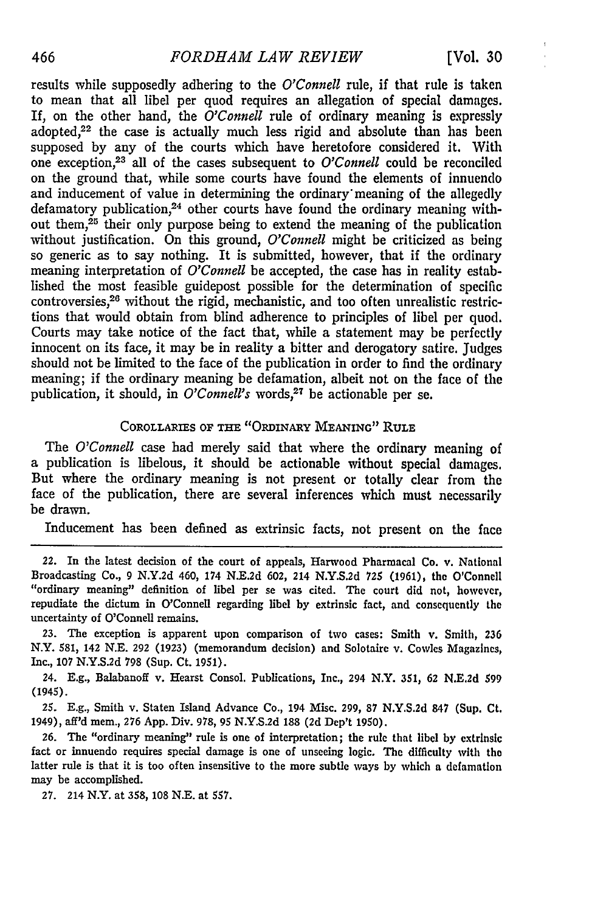results while supposedly adhering to the *O'Connell* rule, if that rule is taken to mean that all libel per quod requires an allegation of special damages. If, on the other hand, the *O'Connell* rule of ordinary meaning is expressly adopted, $2<sup>2</sup>$  the case is actually much less rigid and absolute than has been supposed by any of the courts which have heretofore considered it. With one exception,<sup>23</sup> all of the cases subsequent to *O'Connell* could be reconciled on the ground that, while some courts have found the elements of innuendo and inducement of value in determining the ordinary' meaning of the allegedly defamatory publication,<sup>24</sup> other courts have found the ordinary meaning without them,<sup>25</sup> their only purpose being to extend the meaning of the publication without justification. On this ground, *O'Connell* might be criticized as being so generic as to say nothing. It is submitted, however, that if the ordinary meaning interpretation of *O'Connell* be accepted, the case has in reality established the most feasible guidepost possible for the determination of specific controversies,<sup>26</sup> without the rigid, mechanistic, and too often unrealistic restrictions that would obtain from blind adherence to principles of libel per quod. Courts may take notice of the fact that, while a statement may be perfectly innocent on its face, it may be in reality a bitter and derogatory satire. Judges should not be limited to the face of the publication in order to find the ordinary meaning; if the ordinary meaning be defamation, albeit not on the face of the publication, it should, in *O'Connell's* words,<sup>27</sup> be actionable per se.

#### **COROLLARIES OF THE "ORDINARY MEANING" RULE**

The *O'Connell* case **had** merely said that where the ordinary meaning of a publication is libelous, it should be actionable without special damages. But where the ordinary meaning is not present or totally clear from the face of the publication, there are several inferences which must necessarily be drawn.

Inducement has been defined as extrinsic facts, not present on the face

22. In the latest decision of the court of appeals, Harwood Pharmacal Co. v. National Broadcasting Co., 9 N.Y.2d 460, 174 N.E.2d **602,** 214 N.Y.S.2d **725** (1961), the O'Connell "ordinary meaning" definition of libel per se was cited. The court did not, however, repudiate the dictum in O'Connell regarding libel by extrinsic fact, and consequently the uncertainty of O'Connell remains.

**23.** The exception is apparent upon comparison of two cases: Smith v. Smith, 236 N.Y. **581,** 142 N.E. 292 (1923) (memorandum decision) and Solotaire v. Cowles Magazines, Inc., **107** N.Y.S.2d **798** (Sup. Ct. 1951).

24. E.g., Balabanoff v. Hearst Consol. Publications, Inc., 294 N.Y. **351, 62** N.E.2d 599 (1945).

**25.** E.g., Smith v. Staten Island Advance Co., 194 Misc. 299, 87 N.Y.S.2d 847 (Sup. Ct. 1949), aff'd mem., **276** App. Div. **978, 95** N.Y.S.2d **188 (2d** Dep't 1950).

**26.** The "ordinary meaning" rule is one of interpretation; the rule that libel by extrinsic fact or innuendo requires special damage is one of unseeing logic. The difficulty with tho latter rule is that it is too often insensitive to the more subtle ways by which a defamation may be accomplished.

**27.** 214 N.Y. at 358, 108 N.E. at 557.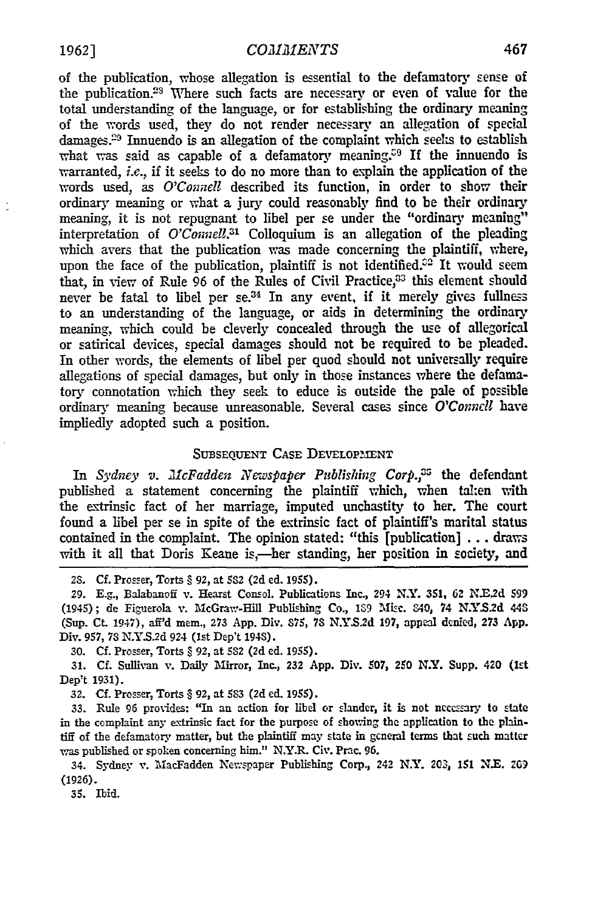of the publication, whose allegation is essential to the defamatory sense of the publication.<sup>23</sup> Where such facts are necessary or even of value for the total understanding of the language, or for establishing the ordinary meaning of the words used, they do not render necessary an allegation of special damages.<sup>29</sup> Innuendo is an allegation of the complaint which seeks to establish what was said as capable of a defamatory meaning.<sup>39</sup> If the innuendo is warranted, *i.e.,* if it seeks to do no more than to explain the application of the words used, as *O'Connell* described its function, in order to show their ordinary meaning or what a jury could reasonably find to be their ordinary meaning, it is not repugnant to libel per se under the "ordinary meaning" interpretation of *O'Connell.31* Colloquium is an allegation of the pleading which avers that the publication was made concerning the plaintiff, where, upon the face of the publication, plaintiff is not identified. $^{c2}$  It would seem that, in view of Rule 96 of the Rules of Civil Practice,<sup>33</sup> this element should never be fatal to libel per  $se^{34}$  In any event, if it merely gives fullness to an understanding of the language, or aids in determining the ordinary meaning, which could be cleverly concealed through the use of allegorical or satirical devices, special damages should not be required to be pleaded. In other words, the elements of libel per quod should not universally require allegations of special damages, but only in those instances where the defamatory connotation which they seek to educe is outside the pale of possible ordinary meaning because unreasonable. Several cases since *O'Connell* have impliedly adopted such a position.

#### **SUBSEQUENT CASE DEVELOPMENT**

*In Sydney v. McFadden Newspaper Publishing Corp.,3 5* the defendant published a statement concerning the plaintiff which, when tahen with the extrinsic fact of her marriage, imputed unchastity to her. The court found a libel per se in spite of the extrinsic fact of plaintiff's marital status contained in the complaint. The opinion stated: "this [publication] **...** draws with it all that Doris Keane is,—her standing, her position in society, and

**29. E.g.,** Balabanoff v. Hearst Consol. Publications Inc., 294 N.Y. 351, **62 N.E2d 599** (1945); de Figuerola v. AlcGravw-Hill Publishing Co., **19** 'Mic. 840, 74 **N.Y.S2d** 443 (Sup. **Ct.** 1947), aff'd mem., **273** App. Div. **S75, 73** N.Y.S.2d 197, appeal denied, **273** App. Div. 957, **73** N.YS.2d 924 (1st Dep't 194S).

**30. Cf.** Prosser, Torts § 92, at **5S2 (2d** ed. **1955).**

**31. Cf.** Sullivan v. Daily lirror, Inc., **232** App. Div. 507, 250 N.Y. Supp. 420 (lst Dep't 1931).

**32. CL** Prosser, Torts § **92,** at **533 (2d** ed. **1955).**

33. Rule 96 provides: "In an action for libel or slander, it is not neccary to state in the complaint any extrinsic fact for the purpose of shouing the application to the plaintiff of the defamatory matter, but the plaintiff may state in general terms that such matter was published or spoken concerning him." N.Y.R. Civ. Prac. 96.

34. Sydney v. M1acFadden New-spaper Publishing Corp., 242 N.Y. 203, 151 N.E. 2G9 (1926).

**35.** Ibid.

<sup>23.</sup> **Cf.** Prosser, Torts § **92,** at **SS2 (2d ed. 1955).**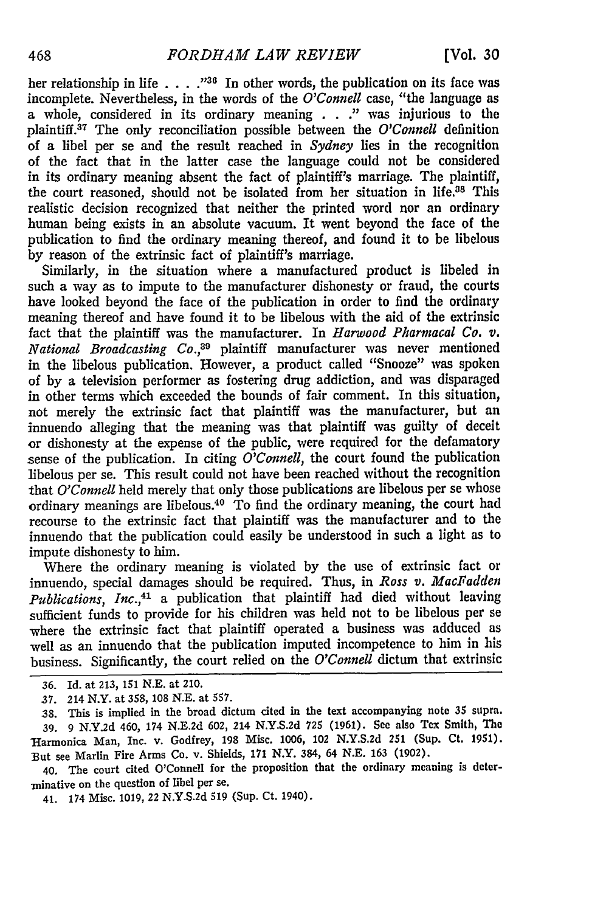her relationship in life . . . .<sup>336</sup> In other words, the publication on its face was incomplete. Nevertheless, in the words of the *O'Connell* case, "the language as a whole, considered in its ordinary meaning **. . ."** was injurious to the plaintiff.<sup>37</sup> The only reconciliation possible between the *O'Connell* definition of a libel per se and the result reached in *Sydney* lies in the recognition of the fact that in the latter case the language could not be considered in its ordinary meaning absent the fact of plaintiff's marriage. The plaintiff, the court reasoned, should not be isolated from her situation in life.38 This realistic decision recognized that neither the printed word nor an ordinary human being exists in an absolute vacuum. It went beyond the face of the publication to find the ordinary meaning thereof, and found it to be libelous **by** reason of the extrinsic fact of plaintiff's marriage.

Similarly, in the situation where a manufactured product is libeled in such a way as to impute to the manufacturer dishonesty or fraud, the courts have looked beyond the face of the publication in order to find the ordinary meaning thereof and have found it to be libelous with the aid of the extrinsic fact that the plaintiff was the manufacturer. In *Harwood Pharmacal Co. v. National Broadcasting Co.,39* plaintiff manufacturer was never mentioned in the libelous publication. However, a product called "Snooze" was spoken of by a television performer as fostering drug addiction, and was disparaged in other terms which exceeded the bounds of fair comment. In this situation, not merely the extrinsic fact that plaintiff was the manufacturer, but an innuendo alleging that the meaning was that plaintiff was guilty of deceit **or** dishonesty at the expense of the public, were required for the defamatory sense of the publication. In citing *O'Connell,* the court found the publication libelous per se. This result could not have been reached without the recognition that *O'Connell* held merely that only those publications are libelous per se whose ordinary meanings are libelous.40 To find the ordinary meaning, the court had recourse to the extrinsic fact that plaintiff was the manufacturer and to the innuendo that the publication could easily be understood in such a light as to impute dishonesty to him.

Where the ordinary meaning is violated by the use of extrinsic fact or innuendo, special damages should be required. Thus, in *Ross v. MacFadden Publications, Inc.,4 <sup>1</sup>*a publication that plaintiff had died without leaving sufficient funds to provide for his children was held not to be libelous per se where the extrinsic fact that plaintiff operated a business was adduced as well as an innuendo that the publication imputed incompetence to him in his business. Significantly, the court relied on the *O'Connell* dictum that extrinsic

- **36.** Id. at **213, 151 N.E.** at 210.
- **37.** 214 N.Y. at 358, 108 N.E. at 557.

40. The court cited O'Connell for the proposition that the ordinary meaning is determinative on the question of libel per se.

41. 174 Misc. 1019, 22 N.Y.S.2d 519 (Sup. Ct. 1940).

**<sup>38.</sup>** This is implied in the broad dictum cited in the text accompanying note 35 supra. **39. 9 N.Y.2d** 460, 174 **N.E.2d 602,** 214 **N.Y.S.2d 725 (1961). See** also Tex Smith, **The** Harmonica Man, Inc. v. Godfrey, 198 Misc. **1006,** 102 **N.Y.S.2d** 251 (Sup. Ct. **1951).** But see Marlin Fire Arms Co. v. Shields, 171 N.Y. 384, 64 N.E. 163 (1902).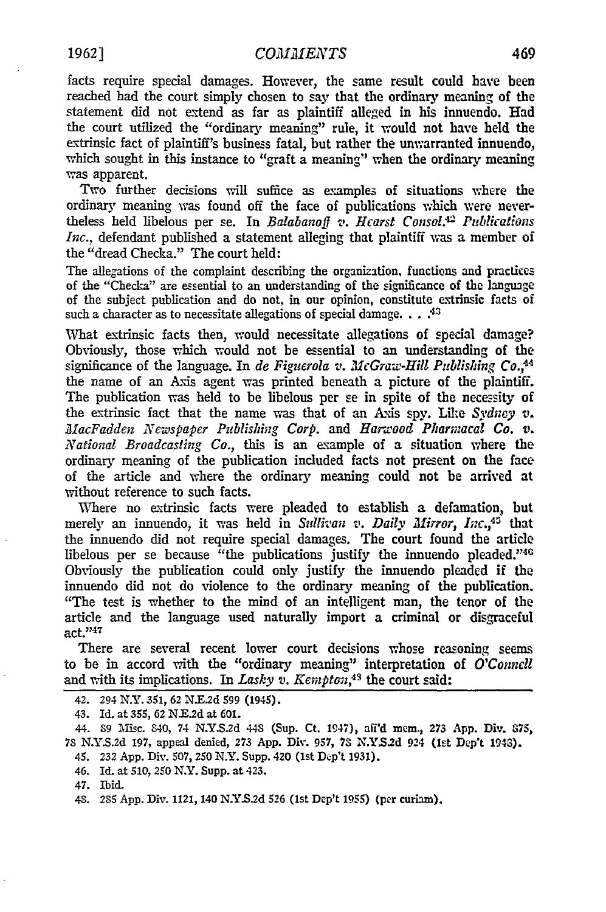facts require special damages. However, the same result could have been reached had the court simply chosen to say that the ordinary meaning of the statement did not extend as far as plaintiff alleged in his innuendo. Had the court utilized the "ordinary meaning" rule, it would not have held the extrinsic fact of plaintiff's business fatal, but rather the unwarranted innuendo, which sought in this instance to "graft a meaning" when the ordinary meaning was apparent.

Two further decisions will suffice as examples of situations where the ordinary meaning was found off the face of publications which were nevertheless held libelous per se. In Balabanoff v. Hearst Consol.<sup>42</sup> Publications *Inc.,* defendant published a statement alleging that plaintiff was a member of the "dread Checka." The court held:

The allegations of the complaint describing the organization, functions and practices of the "Checka" are essential to an understanding of the significance of the language of the subject publication and do not, in our opinion, constitute extrinsic facts of such a character as to necessitate allegations of special damage. . . .<sup>43</sup>

What extrinsic facts then, would necessitate allegations of special damage? Obviously, those which would not be essential to an understanding of the significance of the language. In *de Figzerola v. McGraw-Hill Publishing Co.,"4* the name of an Axis agent was printed beneath a picture of the plaintiff. The publication was held to be libelous per se in spite of the necessity of the extrinsic fact that the name was that of an Axis spy. *Like Sydney v. MacFadden Newspaper Publishing Corp.* and *Harwood Pharmacal Co. v. National Broadcasting Co.,* this is an example of a situation where the ordinary meaning of the publication included facts not present on the face of the article and where the ordinary meaning could not be arrived at without reference to such facts.

Where no extrinsic facts were pleaded to establish a defamation, but merely an innuendo, it was held in *Sullivan v. Daily Mirror*, Inc.,<sup>45</sup> that the innuendo did not require special damages. The court found the article libelous per se because "the publications justify the innuendo pleaded." $40$ Obviously the publication could only justify the innuendo pleaded if the innuendo did not do violence to the ordinary meaning of the publication. "The test is whether to the mind of an intelligent man, the tenor of the article and the language used naturally import a criminal or disgraceful  $act. <sup>2247</sup>$ 

There are several recent lower court decisions whose reasoning seems to be in accord with the "ordinary meaning" interpretation of *O'Connell* and with its implications. In *Lasky v. Kempton*,<sup>43</sup> the court said:

44. **89 Misc.** 840, 74 **N.Y.S.2d 443** (Sup. Ct. 1947), afd mem., **273 App.** Div. **875, 7S N.YS.2d 197,** appeal denied, **273 App.** Div. **957, 73 N.YS.2d** 924 **(let Dep't** 1943).

- 45. **232 App. Div. 507,** *250* N.Y. **Supp.** 420 **(lst Dep't 1931).**
- 46. Id. at **510,** *250* NY. Supp. **at** 423.
- 47. Ibid.

<sup>42. 294</sup> **N.Y.** 351, **62** N.E2d 599 (1945).

<sup>43.</sup> Id. at **355, 62 N.E2d** at **601.**

*<sup>4</sup>S.* 285 App. Div. 1121, 140 N.Y.S.2d **526** (1st Dep't 1955) (per curiam).